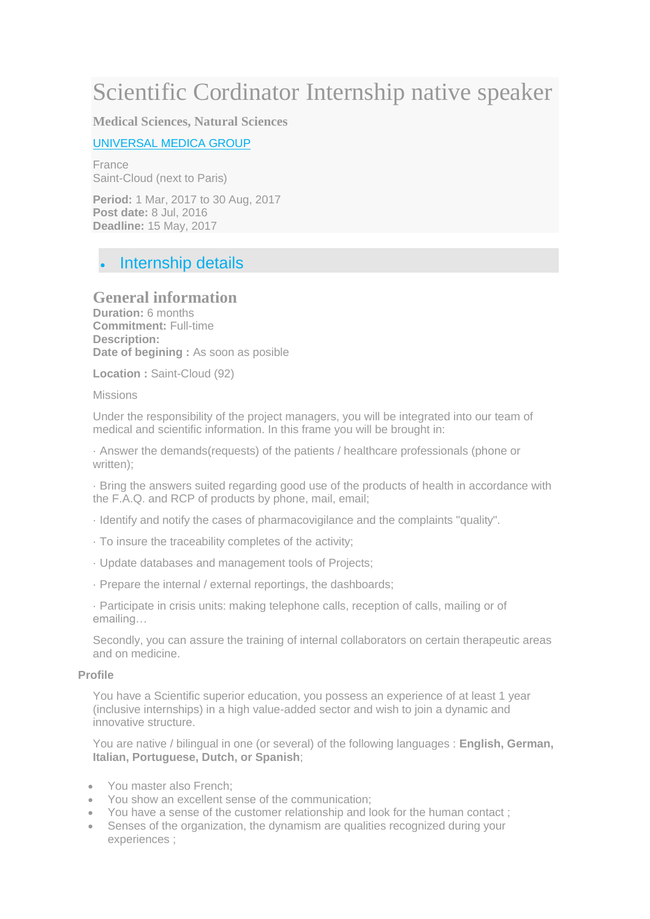# Scientific Cordinator Internship native speaker

**Medical Sciences, Natural Sciences**

### [UNIVERSAL MEDICA GROUP](http://erasmusintern.org/profile-recruiter/98313)

France Saint-Cloud (next to Paris)

**Period:** 1 Mar, 2017 to 30 Aug, 2017 **Post date:** 8 Jul, 2016 **Deadline:** 15 May, 2017

# Internship details

# **General information**

**Duration:** 6 months **Commitment:** Full-time **Description: Date of begining :** As soon as posible

**Location :** Saint-Cloud (92)

#### Missions

Under the responsibility of the project managers, you will be integrated into our team of medical and scientific information. In this frame you will be brought in:

· Answer the demands(requests) of the patients / healthcare professionals (phone or written):

· Bring the answers suited regarding good use of the products of health in accordance with the F.A.Q. and RCP of products by phone, mail, email;

- · Identify and notify the cases of pharmacovigilance and the complaints "quality".
- · To insure the traceability completes of the activity;
- · Update databases and management tools of Projects;
- · Prepare the internal / external reportings, the dashboards;

· Participate in crisis units: making telephone calls, reception of calls, mailing or of emailing…

Secondly, you can assure the training of internal collaborators on certain therapeutic areas and on medicine.

#### **Profile**

You have a Scientific superior education, you possess an experience of at least 1 year (inclusive internships) in a high value-added sector and wish to join a dynamic and innovative structure.

You are native / bilingual in one (or several) of the following languages : **English, German, Italian, Portuguese, Dutch, or Spanish**;

- You master also French;
- You show an excellent sense of the communication;
- You have a sense of the customer relationship and look for the human contact ;
- Senses of the organization, the dynamism are qualities recognized during your experiences ;